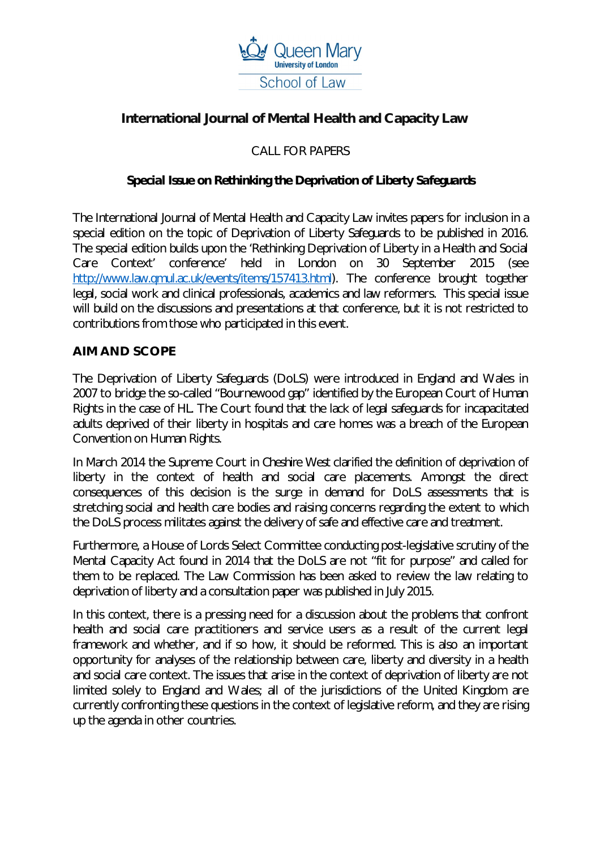

# **International Journal of Mental Health and Capacity Law**

## CALL FOR PAPERS

#### *Special Issue on Rethinking the Deprivation of Liberty Safeguards*

The International Journal of Mental Health and Capacity Law invites papers for inclusion in a special edition on the topic of Deprivation of Liberty Safeguards to be published in 2016. The special edition builds upon the 'Rethinking Deprivation of Liberty in a Health and Social Care Context' conference' held in London on 30 September 2015 (see http://www.law.gmul.ac.uk/events/items/157413.html). The conference brought together legal, social work and clinical professionals, academics and law reformers. This special issue will build on the discussions and presentations at that conference, but it is not restricted to contributions from those who participated in this event.

#### **AIM AND SCOPE**

The Deprivation of Liberty Safeguards (DoLS) were introduced in England and Wales in 2007 to bridge the so-called "Bournewood gap" identified by the European Court of Human Rights in the case of *HL*. The Court found that the lack of legal safeguards for incapacitated adults deprived of their liberty in hospitals and care homes was a breach of the European Convention on Human Rights.

In March 2014 the Supreme Court in *Cheshire West* clarified the definition of deprivation of liberty in the context of health and social care placements. Amongst the direct consequences of this decision is the surge in demand for DoLS assessments that is stretching social and health care bodies and raising concerns regarding the extent to which the DoLS process militates against the delivery of safe and effective care and treatment.

Furthermore, a House of Lords Select Committee conducting post-legislative scrutiny of the Mental Capacity Act found in 2014 that the DoLS are not "fit for purpose" and called for them to be replaced. The Law Commission has been asked to review the law relating to deprivation of liberty and a consultation paper was published in July 2015.

In this context, there is a pressing need for a discussion about the problems that confront health and social care practitioners and service users as a result of the current legal framework and whether, and if so how, it should be reformed. This is also an important opportunity for analyses of the relationship between care, liberty and diversity in a health and social care context. The issues that arise in the context of deprivation of liberty are not limited solely to England and Wales; all of the jurisdictions of the United Kingdom are currently confronting these questions in the context of legislative reform, and they are rising up the agenda in other countries.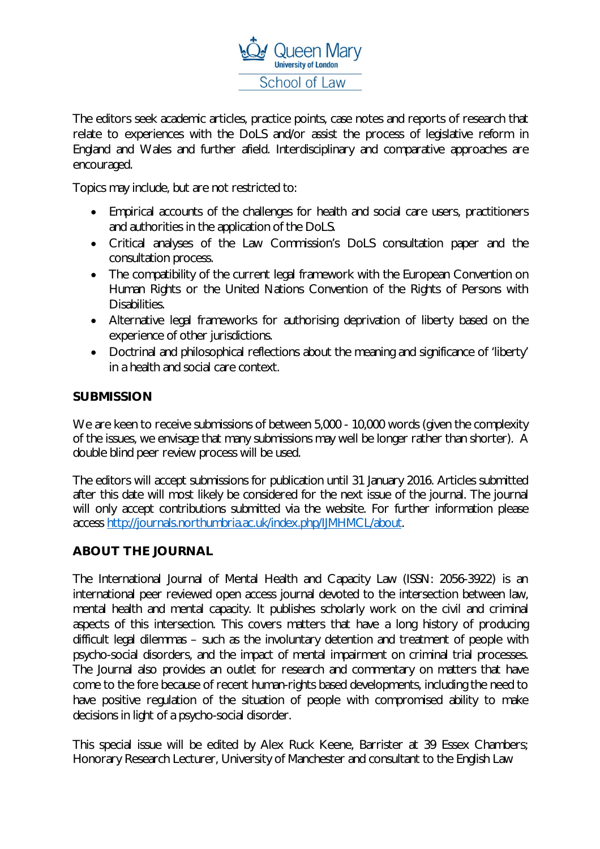

The editors seek academic articles, practice points, case notes and reports of research that relate to experiences with the DoLS and/or assist the process of legislative reform in England and Wales and further afield. Interdisciplinary and comparative approaches are encouraged.

Topics may include, but are not restricted to:

- Empirical accounts of the challenges for health and social care users, practitioners and authorities in the application of the DoLS.
- Critical analyses of the Law Commission's DoLS consultation paper and the consultation process.
- The compatibility of the current legal framework with the European Convention on Human Rights or the United Nations Convention of the Rights of Persons with Disabilities.
- Alternative legal frameworks for authorising deprivation of liberty based on the experience of other jurisdictions.
- Doctrinal and philosophical reflections about the meaning and significance of 'liberty' in a health and social care context.

## **SUBMISSION**

We are keen to receive submissions of between 5,000 - 10,000 words (given the complexity of the issues, we envisage that many submissions may well be longer rather than shorter). A double blind peer review process will be used.

The editors will accept submissions for publication until 31 January 2016. Articles submitted after this date will most likely be considered for the next issue of the journal. The journal will only accept contributions submitted via the website. For further information please access http://journals.northumbria.ac.uk/index.php/IJMHMCL/about.

## **ABOUT THE JOURNAL**

The International Journal of Mental Health and Capacity Law (ISSN: 2056-3922) is an international peer reviewed open access journal devoted to the intersection between law, mental health and mental capacity. It publishes scholarly work on the civil and criminal aspects of this intersection. This covers matters that have a long history of producing difficult legal dilemmas – such as the involuntary detention and treatment of people with psycho-social disorders, and the impact of mental impairment on criminal trial processes. The Journal also provides an outlet for research and commentary on matters that have come to the fore because of recent human-rights based developments, including the need to have positive regulation of the situation of people with compromised ability to make decisions in light of a psycho-social disorder.

This special issue will be edited by Alex Ruck Keene, Barrister at 39 Essex Chambers; Honorary Research Lecturer, University of Manchester and consultant to the English Law